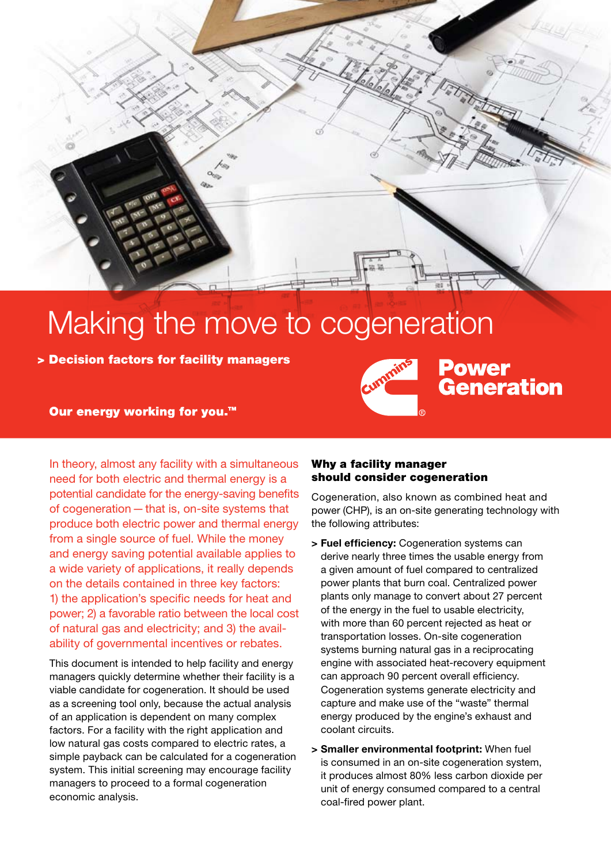

## Making the move to cogeneration

> Decision factors for facility managers

**Power Generation** 

Our energy working for you.<sup>™</sup>

In theory, almost any facility with a simultaneous need for both electric and thermal energy is a potential candidate for the energy-saving benefits of cogeneration—that is, on-site systems that produce both electric power and thermal energy from a single source of fuel. While the money and energy saving potential available applies to a wide variety of applications, it really depends on the details contained in three key factors: 1) the application's specific needs for heat and power; 2) a favorable ratio between the local cost of natural gas and electricity; and 3) the availability of governmental incentives or rebates.

This document is intended to help facility and energy managers quickly determine whether their facility is a viable candidate for cogeneration. It should be used as a screening tool only, because the actual analysis of an application is dependent on many complex factors. For a facility with the right application and low natural gas costs compared to electric rates, a simple payback can be calculated for a cogeneration system. This initial screening may encourage facility managers to proceed to a formal cogeneration economic analysis.

## Why a facility manager should consider cogeneration

Cogeneration, also known as combined heat and power (CHP), is an on-site generating technology with the following attributes:

- **> Fuel efficiency:** Cogeneration systems can derive nearly three times the usable energy from a given amount of fuel compared to centralized power plants that burn coal. Centralized power plants only manage to convert about 27 percent of the energy in the fuel to usable electricity, with more than 60 percent rejected as heat or transportation losses. On-site cogeneration systems burning natural gas in a reciprocating engine with associated heat-recovery equipment can approach 90 percent overall efficiency. Cogeneration systems generate electricity and capture and make use of the "waste" thermal energy produced by the engine's exhaust and coolant circuits.
- **> Smaller environmental footprint:** When fuel is consumed in an on-site cogeneration system, it produces almost 80% less carbon dioxide per unit of energy consumed compared to a central coal-fired power plant.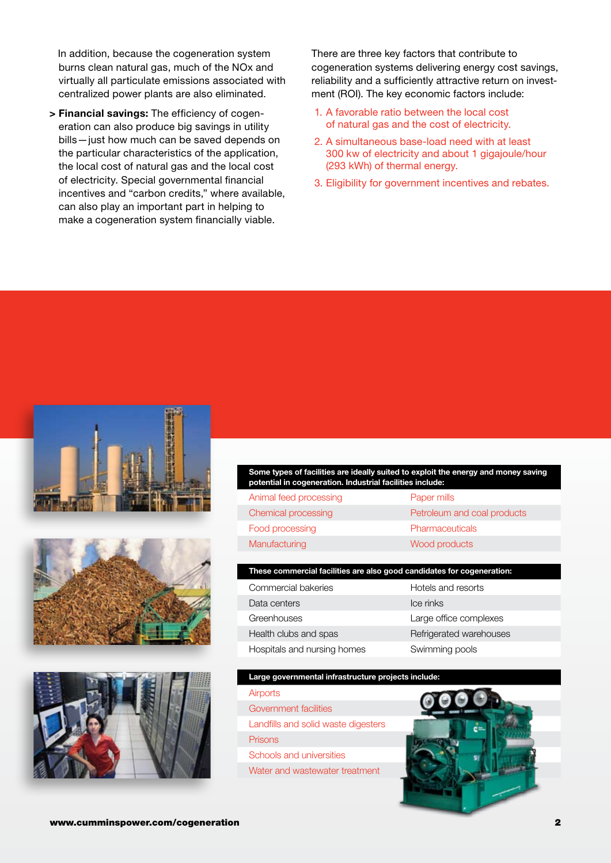In addition, because the cogeneration system burns clean natural gas, much of the NOx and virtually all particulate emissions associated with centralized power plants are also eliminated.

**> Financial savings:** The efficiency of cogeneration can also produce big savings in utility bills—just how much can be saved depends on the particular characteristics of the application, the local cost of natural gas and the local cost of electricity. Special governmental financial incentives and "carbon credits," where available, can also play an important part in helping to make a cogeneration system financially viable.

There are three key factors that contribute to cogeneration systems delivering energy cost savings, reliability and a sufficiently attractive return on investment (ROI). The key economic factors include:

- 1. A favorable ratio between the local cost of natural gas and the cost of electricity.
- 2. A simultaneous base-load need with at least 300 kw of electricity and about 1 gigajoule/hour (293 kWh) of thermal energy.
- 3. Eligibility for government incentives and rebates.







**Some types of facilities are ideally suited to exploit the energy and money saving potential in cogeneration. Industrial facilities include:**

| Animal feed processing | Paper mills                 |
|------------------------|-----------------------------|
| Chemical processing    | Petroleum and coal products |
| Food processing        | <b>Pharmaceuticals</b>      |
| Manufacturing          | Wood products               |

### **These commercial facilities are also good candidates for cogeneration:**

| Commercial bakeries         | Hotels and resorts      |
|-----------------------------|-------------------------|
| Data centers                | Ice rinks               |
| Greenhouses                 | Large office complexes  |
| Health clubs and spas       | Refrigerated warehouses |
| Hospitals and nursing homes | Swimming pools          |

## **Large governmental infrastructure projects include:**

## **Airports** Government facilities

Landfills and solid waste digesters **Prisons** 

Schools and universities

Water and wastewater treatment

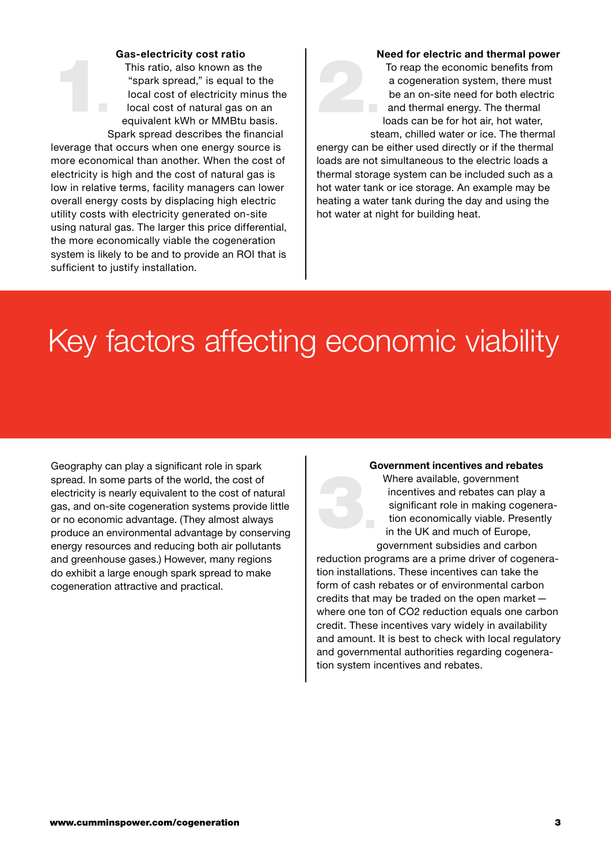### **Gas-electricity cost ratio**

This ratio, also known as the "spark spread," is equal to the local cost of electricity minus the local cost of natural gas on an equivalent kWh or MMBtu basis. Spark spread describes the financial 1.

leverage that occurs when one energy source is more economical than another. When the cost of electricity is high and the cost of natural gas is low in relative terms, facility managers can lower overall energy costs by displacing high electric utility costs with electricity generated on-site using natural gas. The larger this price differential, the more economically viable the cogeneration system is likely to be and to provide an ROI that is sufficient to justify installation.

### **Need for electric and thermal power**

To reap the economic benefits from a cogeneration system, there must be an on-site need for both electric and thermal energy. The thermal loads can be for hot air, hot water, steam, chilled water or ice. The thermal 2.

energy can be either used directly or if the thermal loads are not simultaneous to the electric loads a thermal storage system can be included such as a hot water tank or ice storage. An example may be heating a water tank during the day and using the hot water at night for building heat.

## Key factors affecting economic viability

Geography can play a significant role in spark spread. In some parts of the world, the cost of electricity is nearly equivalent to the cost of natural gas, and on-site cogeneration systems provide little or no economic advantage. (They almost always produce an environmental advantage by conserving energy resources and reducing both air pollutants and greenhouse gases.) However, many regions do exhibit a large enough spark spread to make cogeneration attractive and practical.

### **Government incentives and rebates**

Where available, government incentives and rebates can play a significant role in making cogeneration economically viable. Presently in the UK and much of Europe, government subsidies and carbon 3.

reduction programs are a prime driver of cogeneration installations. These incentives can take the form of cash rebates or of environmental carbon credits that may be traded on the open market where one ton of CO2 reduction equals one carbon credit. These incentives vary widely in availability and amount. It is best to check with local regulatory and governmental authorities regarding cogeneration system incentives and rebates.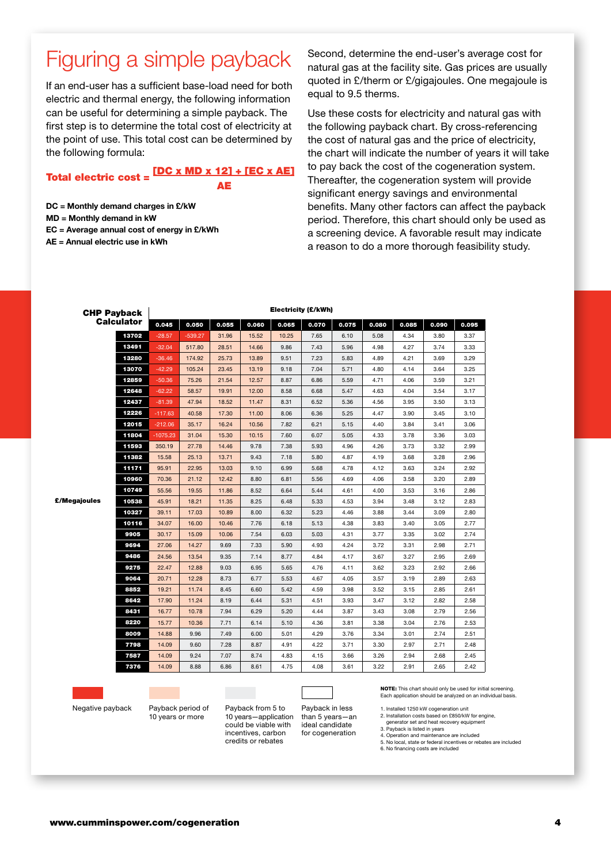## Figuring a simple payback

If an end-user has a sufficient base-load need for both electric and thermal energy, the following information can be useful for determining a simple payback. The first step is to determine the total cost of electricity at the point of use. This total cost can be determined by the following formula:

## Total electric cost =  $\frac{[DC \times MD \times 12] + [EC \times AE]}{2}$ **AE**

**DC = Monthly demand charges in £/kW**

- **MD = Monthly demand in kW**
- **EC = Average annual cost of energy in £/kWh**
- **AE = Annual electric use in kWh**

Second, determine the end-user's average cost for natural gas at the facility site. Gas prices are usually quoted in £/therm or £/gigajoules. One megajoule is equal to 9.5 therms.

Use these costs for electricity and natural gas with the following payback chart. By cross-referencing the cost of natural gas and the price of electricity, the chart will indicate the number of years it will take to pay back the cost of the cogeneration system. Thereafter, the cogeneration system will provide significant energy savings and environmental benefits. Many other factors can affect the payback period. Therefore, this chart should only be used as a screening device. A favorable result may indicate a reason to do a more thorough feasibility study.

| <b>CHP Payback</b><br><b>Calculator</b> |       | Electricity (£/kWh) |           |       |       |       |       |       |       |       |       |       |
|-----------------------------------------|-------|---------------------|-----------|-------|-------|-------|-------|-------|-------|-------|-------|-------|
|                                         |       | 0.045               | 0.050     | 0.055 | 0.060 | 0.065 | 0.070 | 0.075 | 0.080 | 0.085 | 0.090 | 0.095 |
| gajoules                                | 13702 | $-28.57$            | $-539.27$ | 31.96 | 15.52 | 10.25 | 7.65  | 6.10  | 5.08  | 4.34  | 3.80  | 3.37  |
|                                         | 13491 | $-32.04$            | 517.80    | 28.51 | 14.66 | 9.86  | 7.43  | 5.96  | 4.98  | 4.27  | 3.74  | 3.33  |
|                                         | 13280 | $-36.46$            | 174.92    | 25.73 | 13.89 | 9.51  | 7.23  | 5.83  | 4.89  | 4.21  | 3.69  | 3.29  |
|                                         | 13070 | $-42.29$            | 105.24    | 23.45 | 13.19 | 9.18  | 7.04  | 5.71  | 4.80  | 4.14  | 3.64  | 3.25  |
|                                         | 12859 | $-50.36$            | 75.26     | 21.54 | 12.57 | 8.87  | 6.86  | 5.59  | 4.71  | 4.06  | 3.59  | 3.21  |
|                                         | 12648 | $-62.22$            | 58.57     | 19.91 | 12.00 | 8.58  | 6.68  | 5.47  | 4.63  | 4.04  | 3.54  | 3.17  |
|                                         | 12437 | $-81.39$            | 47.94     | 18.52 | 11.47 | 8.31  | 6.52  | 5.36  | 4.56  | 3.95  | 3.50  | 3.13  |
|                                         | 12226 | $-117.63$           | 40.58     | 17.30 | 11.00 | 8.06  | 6.36  | 5.25  | 4.47  | 3.90  | 3.45  | 3.10  |
|                                         | 12015 | $-212.06$           | 35.17     | 16.24 | 10.56 | 7.82  | 6.21  | 5.15  | 4.40  | 3.84  | 3.41  | 3.06  |
|                                         | 11804 | -1075.23            | 31.04     | 15.30 | 10.15 | 7.60  | 6.07  | 5.05  | 4.33  | 3.78  | 3.36  | 3.03  |
|                                         | 11593 | 350.19              | 27.78     | 14.46 | 9.78  | 7.38  | 5.93  | 4.96  | 4.26  | 3.73  | 3.32  | 2.99  |
|                                         | 11382 | 15.58               | 25.13     | 13.71 | 9.43  | 7.18  | 5.80  | 4.87  | 4.19  | 3.68  | 3.28  | 2.96  |
|                                         | 11171 | 95.91               | 22.95     | 13.03 | 9.10  | 6.99  | 5.68  | 4.78  | 4.12  | 3.63  | 3.24  | 2.92  |
|                                         | 10960 | 70.36               | 21.12     | 12.42 | 8.80  | 6.81  | 5.56  | 4.69  | 4.06  | 3.58  | 3.20  | 2.89  |
|                                         | 10749 | 55.56               | 19.55     | 11.86 | 8.52  | 6.64  | 5.44  | 4.61  | 4.00  | 3.53  | 3.16  | 2.86  |
|                                         | 10538 | 45.91               | 18.21     | 11.35 | 8.25  | 6.48  | 5.33  | 4.53  | 3.94  | 3.48  | 3.12  | 2.83  |
|                                         | 10327 | 39.11               | 17.03     | 10.89 | 8.00  | 6.32  | 5.23  | 4.46  | 3.88  | 3.44  | 3.09  | 2.80  |
|                                         | 10116 | 34.07               | 16.00     | 10.46 | 7.76  | 6.18  | 5.13  | 4.38  | 3.83  | 3.40  | 3.05  | 2.77  |
|                                         | 9905  | 30.17               | 15.09     | 10.06 | 7.54  | 6.03  | 5.03  | 4.31  | 3.77  | 3.35  | 3.02  | 2.74  |
|                                         | 9694  | 27.06               | 14.27     | 9.69  | 7.33  | 5.90  | 4.93  | 4.24  | 3.72  | 3.31  | 2.98  | 2.71  |
|                                         | 9486  | 24.56               | 13.54     | 9.35  | 7.14  | 8.77  | 4.84  | 4.17  | 3.67  | 3.27  | 2.95  | 2.69  |
|                                         | 9275  | 22.47               | 12.88     | 9.03  | 6.95  | 5.65  | 4.76  | 4.11  | 3.62  | 3.23  | 2.92  | 2.66  |
|                                         | 9064  | 20.71               | 12.28     | 8.73  | 6.77  | 5.53  | 4.67  | 4.05  | 3.57  | 3.19  | 2.89  | 2.63  |
|                                         | 8852  | 19.21               | 11.74     | 8.45  | 6.60  | 5.42  | 4.59  | 3.98  | 3.52  | 3.15  | 2.85  | 2.61  |
|                                         | 8642  | 17.90               | 11.24     | 8.19  | 6.44  | 5.31  | 4.51  | 3.93  | 3.47  | 3.12  | 2.82  | 2.58  |
|                                         | 8431  | 16.77               | 10.78     | 7.94  | 6.29  | 5.20  | 4.44  | 3.87  | 3.43  | 3.08  | 2.79  | 2.56  |
|                                         | 8220  | 15.77               | 10.36     | 7.71  | 6.14  | 5.10  | 4.36  | 3.81  | 3.38  | 3.04  | 2.76  | 2.53  |
|                                         | 8009  | 14.88               | 9.96      | 7.49  | 6.00  | 5.01  | 4.29  | 3.76  | 3.34  | 3.01  | 2.74  | 2.51  |
|                                         | 7798  | 14.09               | 9.60      | 7.28  | 8.87  | 4.91  | 4.22  | 3.71  | 3.30  | 2.97  | 2.71  | 2.48  |
|                                         | 7587  | 14.09               | 9.24      | 7.07  | 8.74  | 4.83  | 4.15  | 3.66  | 3.26  | 2.94  | 2.68  | 2.45  |
|                                         | 7376  | 14.09               | 8.88      | 6.86  | 8.61  | 4.75  | 4.08  | 3.61  | 3.22  | 2.91  | 2.65  | 2.42  |

Negative payback Payback period of

£/Me

10 years or more

Payback from 5 to 10 years—application could be viable with incentives, carbon credits or rebates

Payback in less than 5 years—an ideal candidate for cogeneration

NOTE: This chart should only be used for initial screening. Each application should be analyzed on an individual basis.

1. Installed 1250 kW cogeneration unit

2. Installation costs based on £850/kW for engine, generator set and heat recovery equipment 3. Payback is listed in years

- 4. Operation and maintenance are included 5. No local, state or federal incentives or rebates are included 6. No financing costs are included
-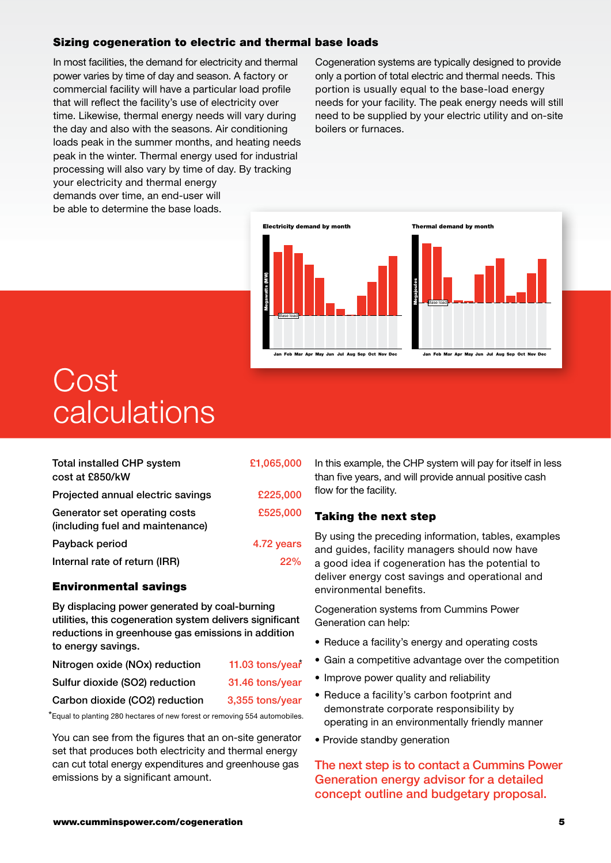## Sizing cogeneration to electric and thermal base loads

In most facilities, the demand for electricity and thermal power varies by time of day and season. A factory or commercial facility will have a particular load profile that will reflect the facility's use of electricity over time. Likewise, thermal energy needs will vary during the day and also with the seasons. Air conditioning loads peak in the summer months, and heating needs peak in the winter. Thermal energy used for industrial processing will also vary by time of day. By tracking your electricity and thermal energy demands over time, an end-user will be able to determine the base loads.

Cogeneration systems are typically designed to provide only a portion of total electric and thermal needs. This portion is usually equal to the base-load energy needs for your facility. The peak energy needs will still need to be supplied by your electric utility and on-site boilers or furnaces.



# Cost calculations

| <b>Total installed CHP system</b><br>cost at £850/kW              | £1,065,000 |  |  |  |
|-------------------------------------------------------------------|------------|--|--|--|
| Projected annual electric savings                                 | £225,000   |  |  |  |
| Generator set operating costs<br>(including fuel and maintenance) | £525,000   |  |  |  |
| Payback period                                                    | 4.72 years |  |  |  |
| Internal rate of return (IRR)                                     | 22%        |  |  |  |

## Environmental savings

By displacing power generated by coal-burning utilities, this cogeneration system delivers significant reductions in greenhouse gas emissions in addition to energy savings.

| Nitrogen oxide (NOx) reduction | 11.03 tons/year |
|--------------------------------|-----------------|
| Sulfur dioxide (SO2) reduction | 31.46 tons/year |
| Carbon dioxide (CO2) reduction | 3,355 tons/year |

\*Equal to planting 280 hectares of new forest or removing 554 automobiles.

You can see from the figures that an on-site generator set that produces both electricity and thermal energy can cut total energy expenditures and greenhouse gas emissions by a significant amount.

In this example, the CHP system will pay for itself in less than five years, and will provide annual positive cash flow for the facility.

## Taking the next step

By using the preceding information, tables, examples and guides, facility managers should now have a good idea if cogeneration has the potential to deliver energy cost savings and operational and environmental benefits.

Cogeneration systems from Cummins Power Generation can help:

- Reduce a facility's energy and operating costs
- Gain a competitive advantage over the competition
- Improve power quality and reliability
- Reduce a facility's carbon footprint and demonstrate corporate responsibility by operating in an environmentally friendly manner
- Provide standby generation

The next step is to contact a Cummins Power Generation energy advisor for a detailed concept outline and budgetary proposal.